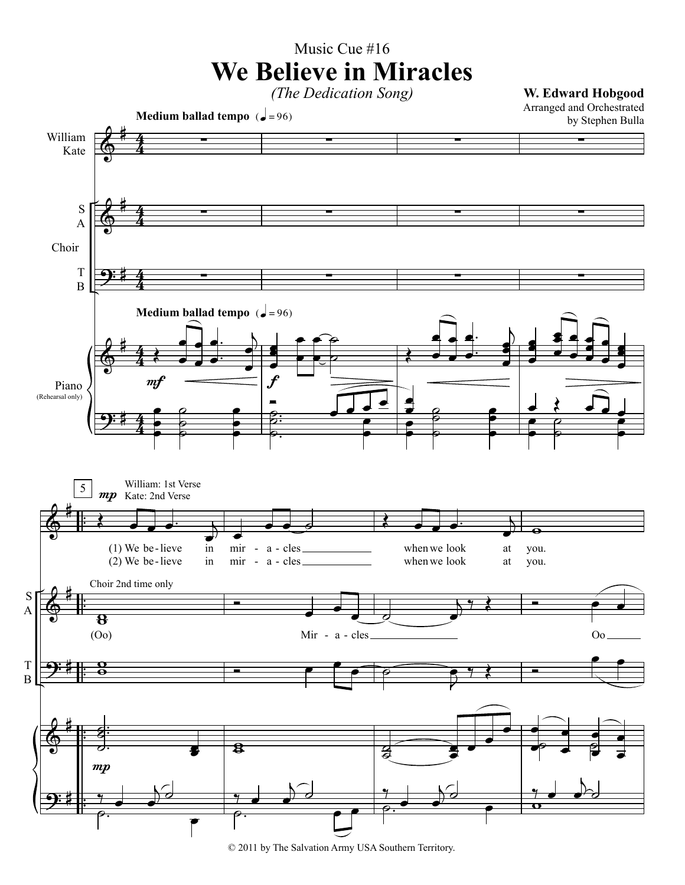## Music Cue #16 **We Believe in Miracles**

*(The Dedication Song)* **W. Edward Hobgood**

Arranged and Orchestrated by Stephen Bulla



© 2011 by The Salvation Army USA Southern Territory.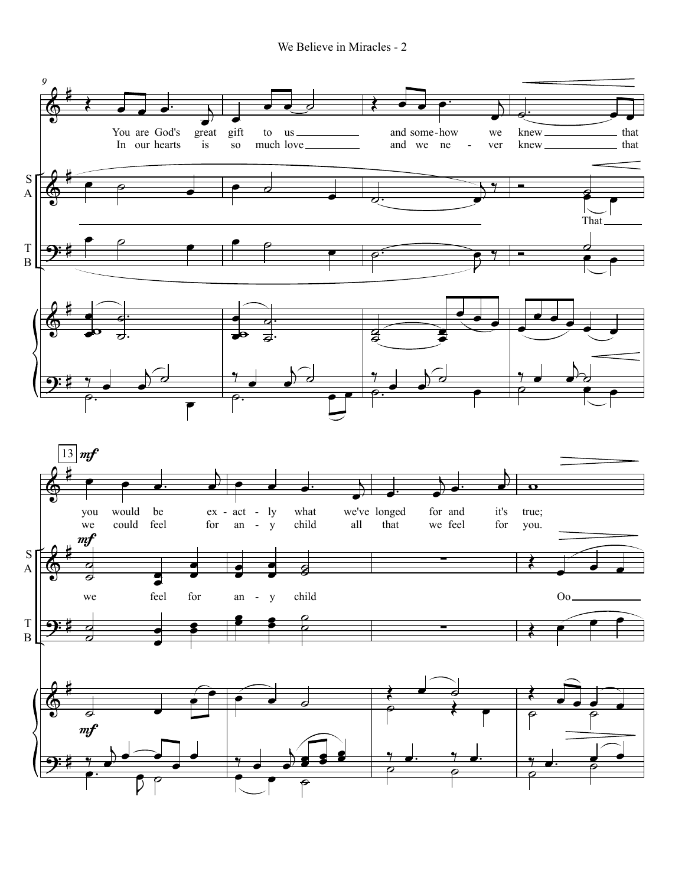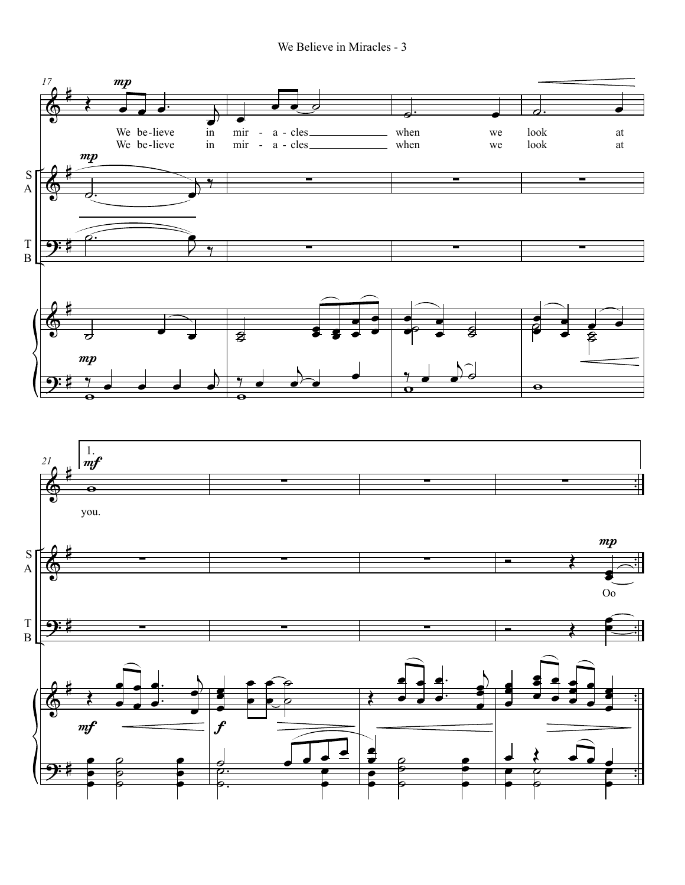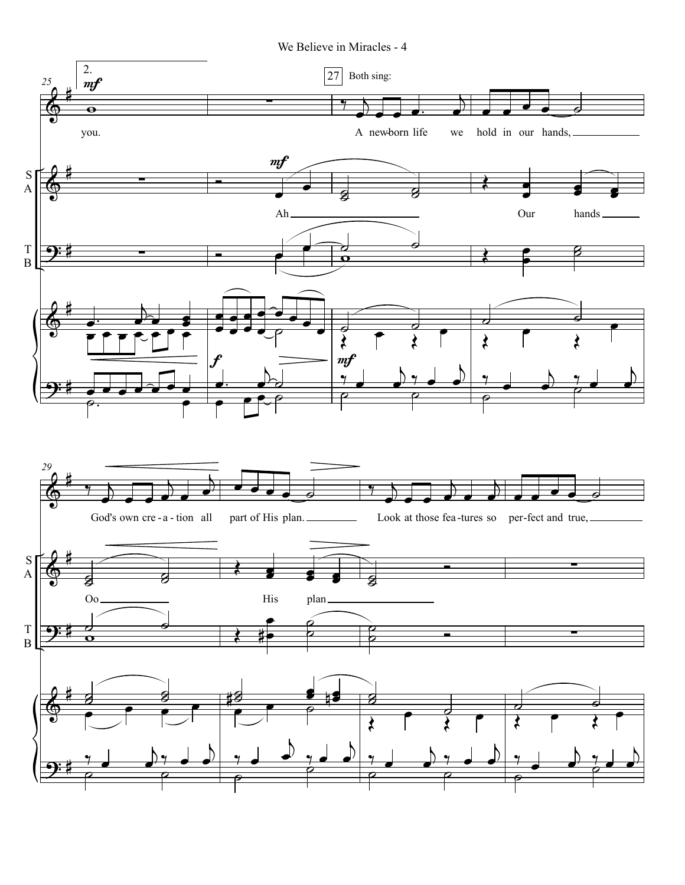We Believe in Miracles - 4

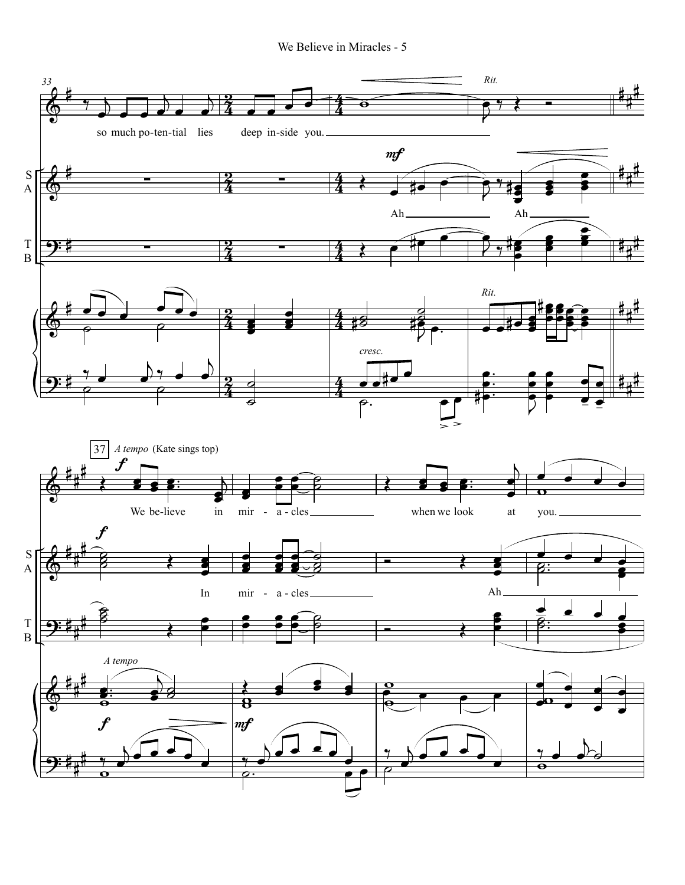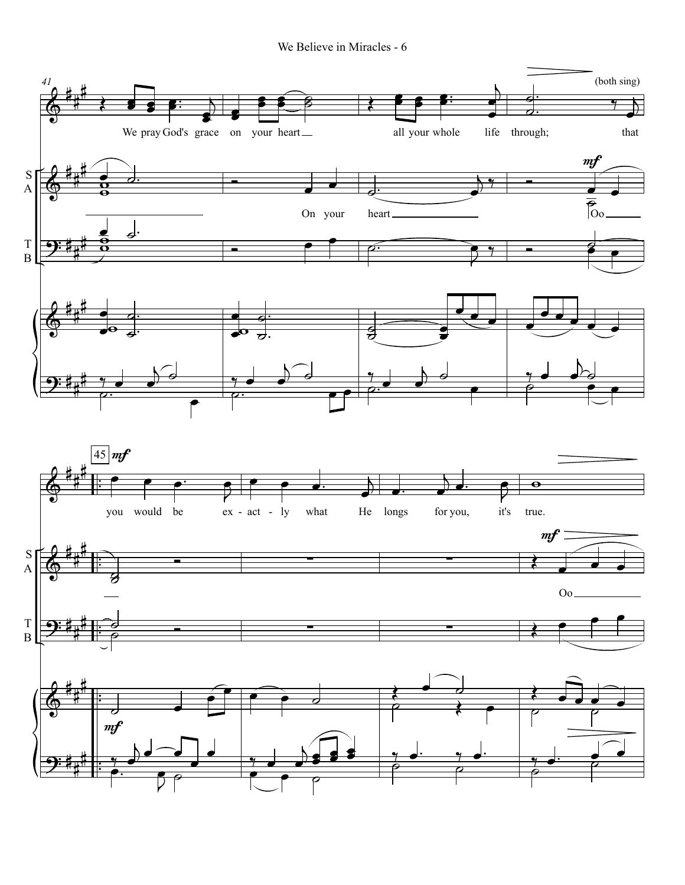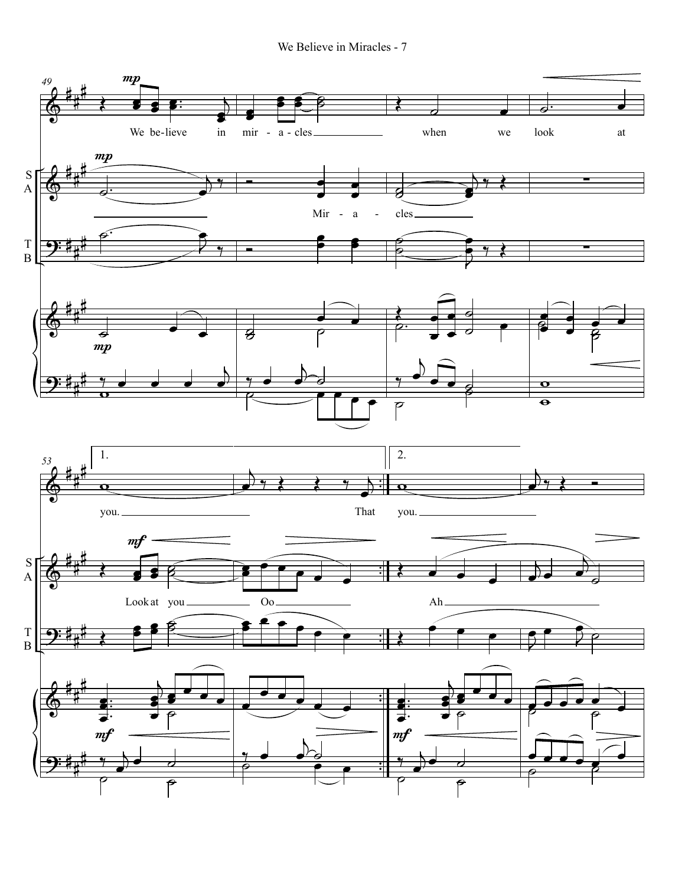